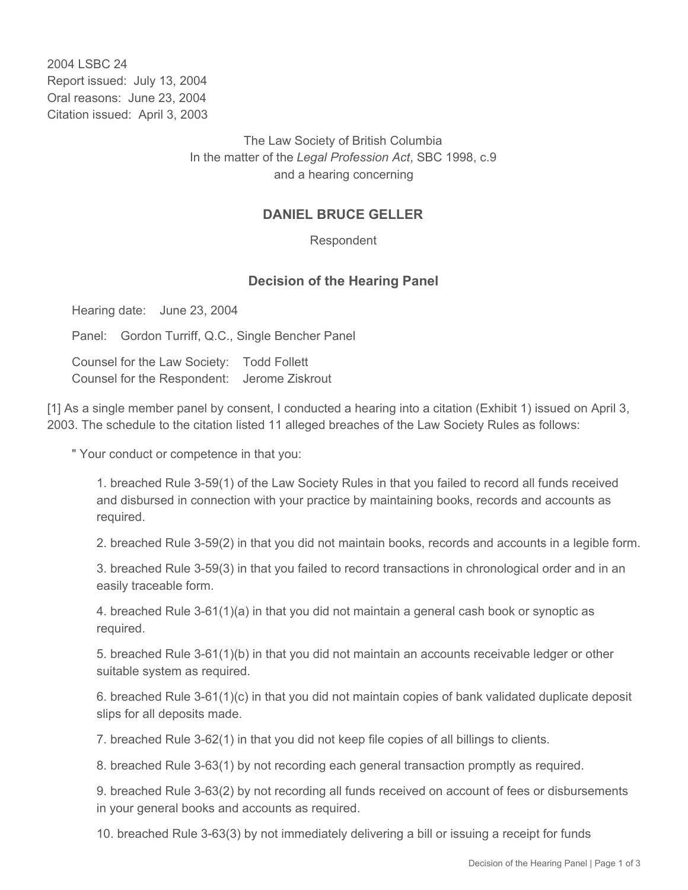2004 LSBC 24 Report issued: July 13, 2004 Oral reasons: June 23, 2004 Citation issued: April 3, 2003

> The Law Society of British Columbia In the matter of the *Legal Profession Act*, SBC 1998, c.9 and a hearing concerning

## **DANIEL BRUCE GELLER**

Respondent

## **Decision of the Hearing Panel**

Hearing date: June 23, 2004

Panel: Gordon Turriff, Q.C., Single Bencher Panel

Counsel for the Law Society: Todd Follett Counsel for the Respondent: Jerome Ziskrout

[1] As a single member panel by consent, I conducted a hearing into a citation (Exhibit 1) issued on April 3, 2003. The schedule to the citation listed 11 alleged breaches of the Law Society Rules as follows:

" Your conduct or competence in that you:

1. breached Rule 3-59(1) of the Law Society Rules in that you failed to record all funds received and disbursed in connection with your practice by maintaining books, records and accounts as required.

2. breached Rule 3-59(2) in that you did not maintain books, records and accounts in a legible form.

3. breached Rule 3-59(3) in that you failed to record transactions in chronological order and in an easily traceable form.

4. breached Rule 3-61(1)(a) in that you did not maintain a general cash book or synoptic as required.

5. breached Rule 3-61(1)(b) in that you did not maintain an accounts receivable ledger or other suitable system as required.

6. breached Rule 3-61(1)(c) in that you did not maintain copies of bank validated duplicate deposit slips for all deposits made.

7. breached Rule 3-62(1) in that you did not keep file copies of all billings to clients.

8. breached Rule 3-63(1) by not recording each general transaction promptly as required.

9. breached Rule 3-63(2) by not recording all funds received on account of fees or disbursements in your general books and accounts as required.

10. breached Rule 3-63(3) by not immediately delivering a bill or issuing a receipt for funds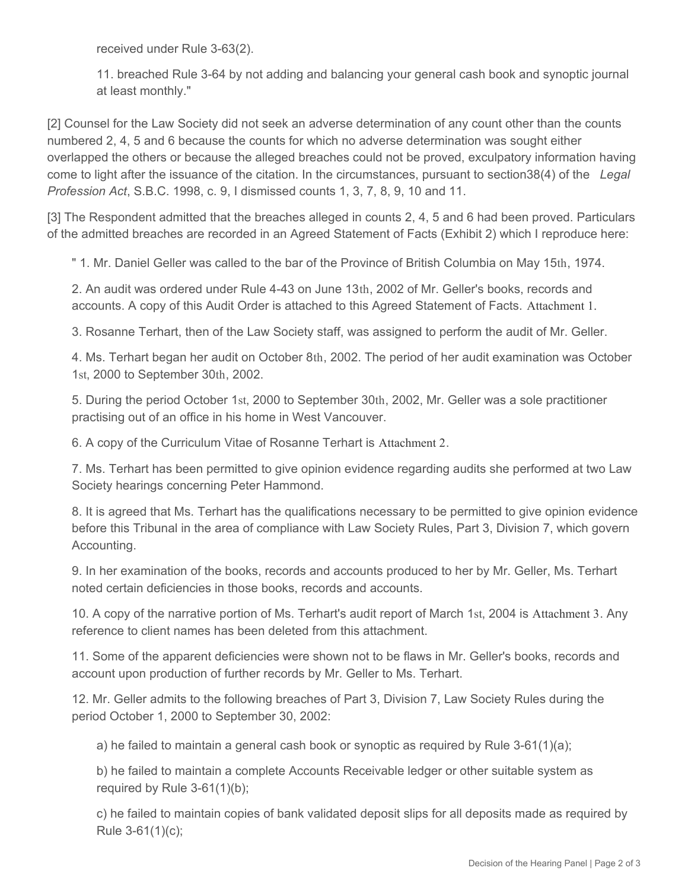received under Rule 3-63(2).

11. breached Rule 3-64 by not adding and balancing your general cash book and synoptic journal at least monthly."

[2] Counsel for the Law Society did not seek an adverse determination of any count other than the counts numbered 2, 4, 5 and 6 because the counts for which no adverse determination was sought either overlapped the others or because the alleged breaches could not be proved, exculpatory information having come to light after the issuance of the citation. In the circumstances, pursuant to section38(4) of the *Legal Profession Act*, S.B.C. 1998, c. 9, I dismissed counts 1, 3, 7, 8, 9, 10 and 11.

[3] The Respondent admitted that the breaches alleged in counts 2, 4, 5 and 6 had been proved. Particulars of the admitted breaches are recorded in an Agreed Statement of Facts (Exhibit 2) which I reproduce here:

" 1. Mr. Daniel Geller was called to the bar of the Province of British Columbia on May 15th, 1974.

2. An audit was ordered under Rule 4-43 on June 13th, 2002 of Mr. Geller's books, records and accounts. A copy of this Audit Order is attached to this Agreed Statement of Facts. Attachment 1.

3. Rosanne Terhart, then of the Law Society staff, was assigned to perform the audit of Mr. Geller.

4. Ms. Terhart began her audit on October 8th, 2002. The period of her audit examination was October 1st, 2000 to September 30th, 2002.

5. During the period October 1st, 2000 to September 30th, 2002, Mr. Geller was a sole practitioner practising out of an office in his home in West Vancouver.

6. A copy of the Curriculum Vitae of Rosanne Terhart is Attachment 2.

7. Ms. Terhart has been permitted to give opinion evidence regarding audits she performed at two Law Society hearings concerning Peter Hammond.

8. It is agreed that Ms. Terhart has the qualifications necessary to be permitted to give opinion evidence before this Tribunal in the area of compliance with Law Society Rules, Part 3, Division 7, which govern Accounting.

9. In her examination of the books, records and accounts produced to her by Mr. Geller, Ms. Terhart noted certain deficiencies in those books, records and accounts.

10. A copy of the narrative portion of Ms. Terhart's audit report of March 1st, 2004 is Attachment 3. Any reference to client names has been deleted from this attachment.

11. Some of the apparent deficiencies were shown not to be flaws in Mr. Geller's books, records and account upon production of further records by Mr. Geller to Ms. Terhart.

12. Mr. Geller admits to the following breaches of Part 3, Division 7, Law Society Rules during the period October 1, 2000 to September 30, 2002:

a) he failed to maintain a general cash book or synoptic as required by Rule  $3-61(1)(a)$ ;

b) he failed to maintain a complete Accounts Receivable ledger or other suitable system as required by Rule 3-61(1)(b);

c) he failed to maintain copies of bank validated deposit slips for all deposits made as required by Rule 3-61(1)(c);